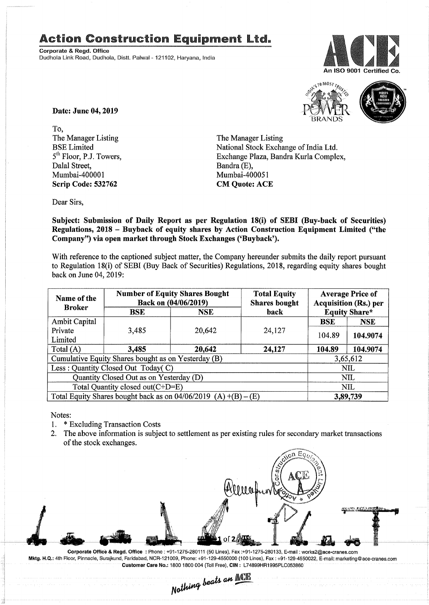## **Action Construction Equipment Ltd.**

Corporate & Regd. Office Dudhola Link Road, Dudhola, Distt. Palwal- 121102, Haryana, India





Date: June 04,2019

To, The Manager Listing BSE Limited 5<sup>th</sup> Floor, P.J. Towers. Dalal Street, Mumbai-400001 Scrip Code: 532762

The Manager Listing National Stock Exchange of India Ltd. Exchange Plaza, Bandra Kurla Complex, Bandra(E), Mumbai-400051 CM Quote: ACE

Dear Sirs,

Subject: Submission of Daily Report as per Regulation 18(i) of SEBI (Buy-back of Securities) Regulations, 2018 - Buyback of equity shares by Action Construction Equipment Limited ("the Company") via open market through Stock Exchanges ('Buyback').

With reference to the captioned subject matter, the Company hereunder submits the daily report pursuant to Regulation 18(i) of SEBI (Buy Back of Securities) Regulations, 2018, regarding equity shares bought back on June 04, 2019:

| Name of the<br><b>Broker</b>                                      | <b>Number of Equity Shares Bought</b><br>Back on (04/06/2019) |            | <b>Total Equity</b><br><b>Shares bought</b> | <b>Average Price of</b><br><b>Acquisition (Rs.) per</b> |            |  |
|-------------------------------------------------------------------|---------------------------------------------------------------|------------|---------------------------------------------|---------------------------------------------------------|------------|--|
|                                                                   | $_{\rm BSE}$                                                  | <b>NSE</b> | back                                        | <b>Equity Share*</b>                                    |            |  |
| <b>Ambit Capital</b>                                              |                                                               |            |                                             | <b>BSE</b>                                              | <b>NSE</b> |  |
| Private<br>Limited                                                | 3,485                                                         | 20,642     | 24,127                                      | 104.89                                                  | 104.9074   |  |
| Total (A)                                                         | 3,485                                                         | 20,642     | 24,127                                      | 104.89                                                  | 104.9074   |  |
| Cumulative Equity Shares bought as on Yesterday (B)               |                                                               |            |                                             |                                                         | 3,65,612   |  |
| Less: Quantity Closed Out Today(C)                                |                                                               |            |                                             | NIL                                                     |            |  |
| Quantity Closed Out as on Yesterday (D)                           |                                                               |            |                                             | <b>NIL</b>                                              |            |  |
| Total Quantity closed out(C+D=E)                                  |                                                               |            |                                             |                                                         | <b>NIL</b> |  |
| Total Equity Shares bought back as on $04/06/2019$ (A) +(B) – (E) |                                                               |            |                                             | 3,89,739                                                |            |  |

Notes:

- 1. \* Excluding Transaction Costs
- 2. The above information is subject to settlement as per existing rules for secondary market transactions of the stock exchanges.



Corporate Office & Regd. Office: Phone: +91-1275-280111 (50 Lines), Fax:+91-1275-280133, E-mail: works2@ace-cranes.com Mktg. H.Q.: 4th Floor, Pinnacle, Surajkund, Faridabad, NCR-121009, Phone: +91-129-4550000 (100 Lines), Fax: +91-129-4550022, E-mail: marketing@ace-cranes.com Customer Care No.: 1800 1800004 (Toll Free), CIN: L74899HR1995PLC053860

*Nothing beats an ACE*